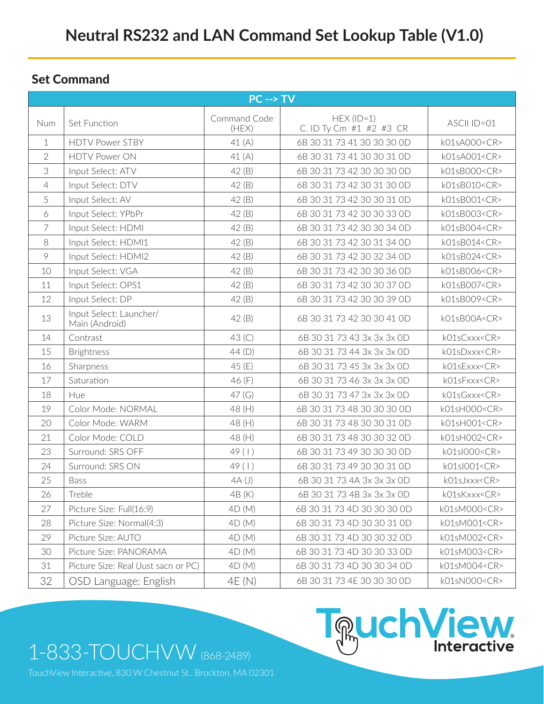### Set Command

| $PC \rightarrow TV$ |                                           |                       |                                         |                    |  |  |  |  |
|---------------------|-------------------------------------------|-----------------------|-----------------------------------------|--------------------|--|--|--|--|
| Num                 | Set Function                              | Command Code<br>(HEX) | $HEX (ID=1)$<br>C. ID Ty Cm #1 #2 #3 CR | ASCII ID=01        |  |  |  |  |
| 1                   | <b>HDTV Power STBY</b>                    | 41(A)                 | 6B 30 31 73 41 30 30 30 0D              | k01sA000 <cr></cr> |  |  |  |  |
| $\overline{2}$      | <b>HDTV Power ON</b>                      | 41 $(A)$              | 6B 30 31 73 41 30 30 31 0D              | k01sA001 <cr></cr> |  |  |  |  |
| 3                   | Input Select: ATV                         | 42(B)                 | 6B 30 31 73 42 30 30 30 0D              | k01sB000 <cr></cr> |  |  |  |  |
| 4                   | Input Select: DTV                         | 42(B)                 | 6B 30 31 73 42 30 31 30 0D              | k01sB010 <cr></cr> |  |  |  |  |
| 5                   | Input Select: AV                          | 42(B)                 | 6B 30 31 73 42 30 30 31 0D              | k01sB001 <cr></cr> |  |  |  |  |
| 6                   | Input Select: YPbPr                       | 42(B)                 | 6B 30 31 73 42 30 30 33 0D              | k01sB003 <cr></cr> |  |  |  |  |
| 7                   | Input Select: HDMI                        | 42(B)                 | 6B 30 31 73 42 30 30 34 0D              | k01sB004 <cr></cr> |  |  |  |  |
| 8                   | Input Select: HDMI1                       | 42 (B)                | 6B 30 31 73 42 30 31 34 0D              | k01sB014 <cr></cr> |  |  |  |  |
| 9                   | Input Select: HDMI2                       | 42(B)                 | 6B 30 31 73 42 30 32 34 0D              | k01sB024 <cr></cr> |  |  |  |  |
| 10                  | Input Select: VGA                         | 42(B)                 | 6B 30 31 73 42 30 30 36 0D              | k01sB006 <cr></cr> |  |  |  |  |
| 11                  | Input Select: OPS1                        | 42 (B)                | 6B 30 31 73 42 30 30 37 0D              | k01sB007 <cr></cr> |  |  |  |  |
| 12                  | Input Select: DP                          | 42(B)                 | 6B 30 31 73 42 30 30 39 0D              | k01sB009 <cr></cr> |  |  |  |  |
| 13                  | Input Select: Launcher/<br>Main (Android) | 42(B)                 | 6B 30 31 73 42 30 30 41 OD              | k01sB00A <cr></cr> |  |  |  |  |
| 14                  | Contrast                                  | 43 <sup>(C)</sup>     | 6B 30 31 73 43 3x 3x 3x 0D              | k01sCxxx <cr></cr> |  |  |  |  |
| 15                  | <b>Brightness</b>                         | 44(D)                 | 6B 30 31 73 44 3x 3x 3x 0D              | k01sDxxx <cr></cr> |  |  |  |  |
| 16                  | Sharpness                                 | 45 (E)                | 6B 30 31 73 45 3x 3x 3x 0D              | k01sExxx <cr></cr> |  |  |  |  |
| 17                  | Saturation                                | 46 (F)                | 6B 30 31 73 46 3x 3x 3x 0D              | k01sFxxx <cr></cr> |  |  |  |  |
| 18                  | Hue                                       | 47(G)                 | 6B 30 31 73 47 3x 3x 3x 0D              | k01sGxxx <cr></cr> |  |  |  |  |
| 19                  | Color Mode: NORMAL                        | 48 (H)                | 6B 30 31 73 48 30 30 30 0D              | k01sH000 <cr></cr> |  |  |  |  |
| 20                  | Color Mode: WARM                          | 48 (H)                | 6B 30 31 73 48 30 30 31 0D              | k01sH001 <cr></cr> |  |  |  |  |
| 21                  | Color Mode: COLD                          | 48 (H)                | 6B 30 31 73 48 30 30 32 0D              | k01sH002 <cr></cr> |  |  |  |  |
| 23                  | Surround: SRS OFF                         | 49(1)                 | 6B 30 31 73 49 30 30 30 0D              | k01sl000 <cr></cr> |  |  |  |  |
| 24                  | Surround: SRS ON                          | 49 (1)                | 6B 30 31 73 49 30 30 31 0D              | k01sl001 <cr></cr> |  |  |  |  |
| 25                  | Bass                                      | 4A(J)                 | 6B 30 31 73 4A 3x 3x 3x 0D              | k01sJxxx <cr></cr> |  |  |  |  |
| 26                  | Treble                                    | 4B (K)                | 6B 30 31 73 4B 3x 3x 3x 0D              | k01sKxxx <cr></cr> |  |  |  |  |
| 27                  | Picture Size: Full(16:9)                  | 4D(M)                 | 6B 30 31 73 4D 30 30 30 0D              | k01sM000 <cr></cr> |  |  |  |  |
| 28                  | Picture Size: Normal(4:3)                 | 4D(M)                 | 6B 30 31 73 4D 30 30 31 0D              | k01sM001 <cr></cr> |  |  |  |  |
| 29                  | Picture Size: AUTO                        | 4D(M)                 | 6B 30 31 73 4D 30 30 32 0D              | k01sM002 <cr></cr> |  |  |  |  |
| 30                  | Picture Size: PANORAMA                    | 4D(M)                 | 6B 30 31 73 4D 30 30 33 0D              | k01sM003 <cr></cr> |  |  |  |  |
| 31                  | Picture Size: Real (Just sacn or PC)      | 4D(M)                 | 6B 30 31 73 4D 30 30 34 0D              | k01sM004 <cr></cr> |  |  |  |  |
| 32                  | OSD Language: English                     | 4E (N)                | 6B 30 31 73 4E 30 30 30 0D              | k01sN000 <cr></cr> |  |  |  |  |

1-833-TOUCHVW (868-2489)



TouchView Interactive, 830 W Chestnut St., Brockton, MA 02301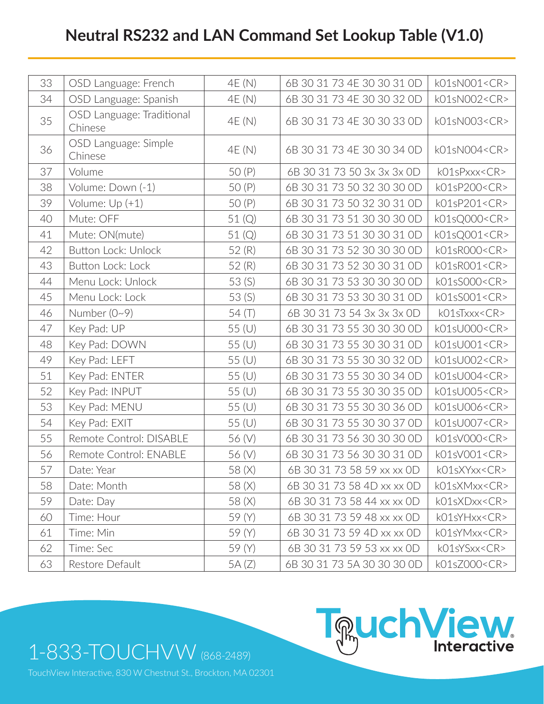# **Neutral RS232 and LAN Command Set Lookup Table (V1.0)**

| 33 | OSD Language: French                 | 4E (N)   | 6B 30 31 73 4E 30 30 31 0D | k01sN001 <cr></cr> |
|----|--------------------------------------|----------|----------------------------|--------------------|
| 34 | OSD Language: Spanish                | 4E (N)   | 6B 30 31 73 4E 30 30 32 0D | k01sN002 <cr></cr> |
| 35 | OSD Language: Traditional<br>Chinese | 4E (N)   | 6B 30 31 73 4E 30 30 33 0D | k01sN003 <cr></cr> |
| 36 | OSD Language: Simple<br>Chinese      | 4E (N)   | 6B 30 31 73 4E 30 30 34 0D | k01sN004 <cr></cr> |
| 37 | Volume                               | 50 (P)   | 6B 30 31 73 50 3x 3x 3x 0D | k01sPxxx <cr></cr> |
| 38 | Volume: Down (-1)                    | 50 (P)   | 6B 30 31 73 50 32 30 30 0D | k01sP200 <cr></cr> |
| 39 | Volume: $Up (+1)$                    | 50 (P)   | 6B 30 31 73 50 32 30 31 OD | k01sP201 <cr></cr> |
| 40 | Mute: OFF                            | 51 (Q)   | 6B 30 31 73 51 30 30 30 0D | k01sQ000 <cr></cr> |
| 41 | Mute: ON(mute)                       | 51(Q)    | 6B 30 31 73 51 30 30 31 0D | k01sQ001 <cr></cr> |
| 42 | <b>Button Lock: Unlock</b>           | 52(R)    | 6B 30 31 73 52 30 30 30 0D | k01sR000 <cr></cr> |
| 43 | Button Lock: Lock                    | 52(R)    | 6B 30 31 73 52 30 30 31 OD | k01sR001 <cr></cr> |
| 44 | Menu Lock: Unlock                    | 53(S)    | 6B 30 31 73 53 30 30 30 0D | k01sS000 <cr></cr> |
| 45 | Menu Lock: Lock                      | 53(S)    | 6B 30 31 73 53 30 30 31 OD | k01sS001 <cr></cr> |
| 46 | Number $(0-9)$                       | 54 $(T)$ | 6B 30 31 73 54 3x 3x 3x 0D | k01sTxxx <cr></cr> |
| 47 | Key Pad: UP                          | 55 (U)   | 6B 30 31 73 55 30 30 30 0D | k01sU000 <cr></cr> |
| 48 | Key Pad: DOWN                        | 55 (U)   | 6B 30 31 73 55 30 30 31 OD | k01sU001 <cr></cr> |
| 49 | Key Pad: LEFT                        | 55 (U)   | 6B 30 31 73 55 30 30 32 OD | k01sU002 <cr></cr> |
| 51 | Key Pad: ENTER                       | 55 (U)   | 6B 30 31 73 55 30 30 34 0D | k01sU004 <cr></cr> |
| 52 | Key Pad: INPUT                       | 55 (U)   | 6B 30 31 73 55 30 30 35 OD | k01sU005 <cr></cr> |
| 53 | Key Pad: MENU                        | 55 (U)   | 6B 30 31 73 55 30 30 36 0D | k01sU006 <cr></cr> |
| 54 | Key Pad: EXIT                        | 55 (U)   | 6B 30 31 73 55 30 30 37 0D | k01sU007 <cr></cr> |
| 55 | Remote Control: DISABLE              | 56 (V)   | 6B 30 31 73 56 30 30 30 0D | k01sV000 <cr></cr> |
| 56 | Remote Control: ENABLE               | 56 (V)   | 6B 30 31 73 56 30 30 31 OD | k01sV001 <cr></cr> |
| 57 | Date: Year                           | 58 (X)   | 6B 30 31 73 58 59 xx xx OD | k01sXYxx <cr></cr> |
| 58 | Date: Month                          | 58 (X)   | 6B 30 31 73 58 4D xx xx 0D | k01sXMxx <cr></cr> |
| 59 | Date: Day                            | 58 (X)   | 6B 30 31 73 58 44 xx xx 0D | k01sXDxx <cr></cr> |
| 60 | Time: Hour                           | 59 (Y)   | 6B 30 31 73 59 48 xx xx OD | k01sYHxx <cr></cr> |
| 61 | Time: Min                            | 59 (Y)   | 6B 30 31 73 59 4D xx xx 0D | k01sYMxx <cr></cr> |
| 62 | Time: Sec                            | 59 (Y)   | 6B 30 31 73 59 53 xx xx OD | k01sYSxx <cr></cr> |
| 63 | Restore Default                      | 5A(Z)    | 6B 30 31 73 5A 30 30 30 0D | k01sZ000 <cr></cr> |

1-833-TOUCHVW (868-2489)

TouchView Interactive, 830 W Chestnut St., Brockton, MA 02301